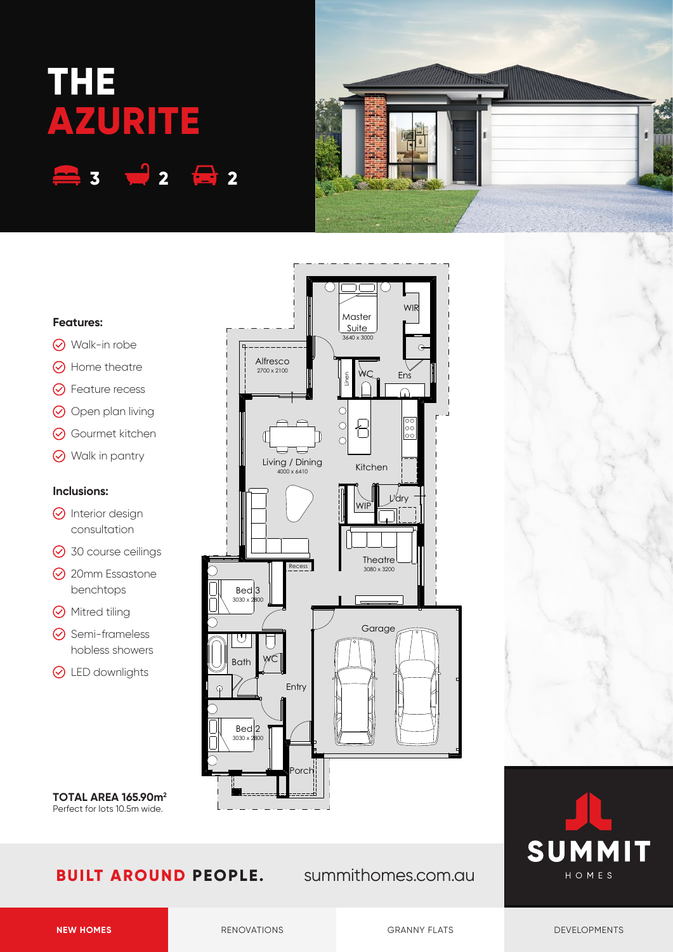## **THE AZURITE 3 2 2**



## **Features:**

- **⊙** Walk-in robe
- $\odot$  Home theatre
- **⊙** Feature recess
- O Open plan living
- **⊙** Gourmet kitchen
- Walk in pantry

## **Inclusions:**

- $\odot$  Interior design consultation
- **⊙** 30 course ceilings
- **⊙** 20mm Essastone benchtops
- **⊙** Mitred tiling
- **⊙** Semi-frameless hobless showers
- **⊙** LED downlights

**TOTAL AREA 165.90m2** Perfect for lots 10.5m wide.



Ens

 $\Omega$ 

 $\overline{\circ}$  $\frac{50}{100}$ 

WIR

 $\Theta$ 

L'dry

Kitchen

WIP

 $\overline{\text{Recess}}$  Theatre

Garage

3080 x 3200

Master Suite 3640 x 3000

٦ſ

ור)

Linen

 $\circ$  $\circ$ 

 $\overline{C}$ 



Entry

Porch

WC

Alfresco 2700 x 2100

> Living / Dining 4000 x 6410

Bath

U

 $Bed<sub>3</sub>$  $3030y$ 

 $Bed$ <sub>2</sub>  $3030 \times$ 

**NEW HOMES** RENOVATIONS RENOVATIONS GRANNY FLATS DEVELOPMENTS